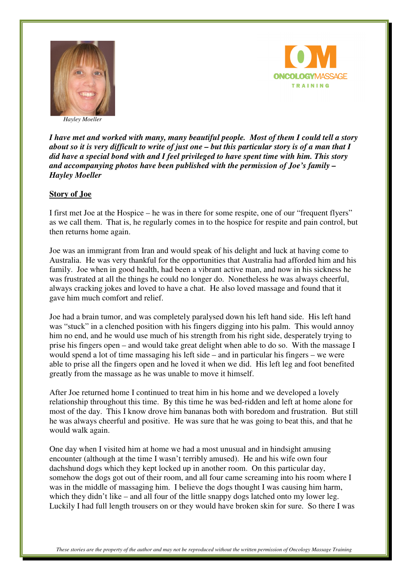

**ONCOLOGYMASSAGE TRAINING** 

 *Hayley Moeller* 

*I have met and worked with many, many beautiful people. Most of them I could tell a story about so it is very difficult to write of just one – but this particular story is of a man that I did have a special bond with and I feel privileged to have spent time with him. This story and accompanying photos have been published with the permission of Joe's family – Hayley Moeller* 

## **Story of Joe**

I first met Joe at the Hospice – he was in there for some respite, one of our "frequent flyers" as we call them. That is, he regularly comes in to the hospice for respite and pain control, but then returns home again.

Joe was an immigrant from Iran and would speak of his delight and luck at having come to Australia. He was very thankful for the opportunities that Australia had afforded him and his family. Joe when in good health, had been a vibrant active man, and now in his sickness he was frustrated at all the things he could no longer do. Nonetheless he was always cheerful, always cracking jokes and loved to have a chat. He also loved massage and found that it gave him much comfort and relief.

Joe had a brain tumor, and was completely paralysed down his left hand side. His left hand was "stuck" in a clenched position with his fingers digging into his palm. This would annoy him no end, and he would use much of his strength from his right side, desperately trying to prise his fingers open – and would take great delight when able to do so. With the massage I would spend a lot of time massaging his left side – and in particular his fingers – we were able to prise all the fingers open and he loved it when we did. His left leg and foot benefited greatly from the massage as he was unable to move it himself.

After Joe returned home I continued to treat him in his home and we developed a lovely relationship throughout this time. By this time he was bed-ridden and left at home alone for most of the day. This I know drove him bananas both with boredom and frustration. But still he was always cheerful and positive. He was sure that he was going to beat this, and that he would walk again.

One day when I visited him at home we had a most unusual and in hindsight amusing encounter (although at the time I wasn't terribly amused). He and his wife own four dachshund dogs which they kept locked up in another room. On this particular day, somehow the dogs got out of their room, and all four came screaming into his room where I was in the middle of massaging him. I believe the dogs thought I was causing him harm, which they didn't like – and all four of the little snappy dogs latched onto my lower leg. Luckily I had full length trousers on or they would have broken skin for sure. So there I was